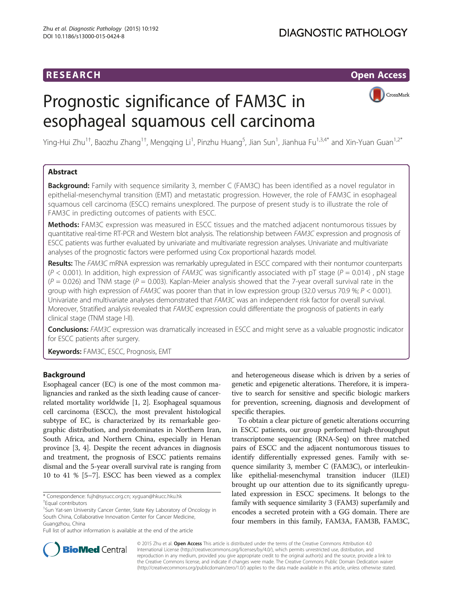# Prognostic significance of FAM3C in esophageal squamous cell carcinoma



Ying-Hui Zhu<sup>1†</sup>, Baozhu Zhang<sup>1†</sup>, Mengqing Li<sup>1</sup>, Pinzhu Huang<sup>5</sup>, Jian Sun<sup>1</sup>, Jianhua Fu<sup>1,3,4\*</sup> and Xin-Yuan Guan<sup>1,2\*</sup>

# Abstract

**Background:** Family with sequence similarity 3, member C (FAM3C) has been identified as a novel regulator in epithelial-mesenchymal transition (EMT) and metastatic progression. However, the role of FAM3C in esophageal squamous cell carcinoma (ESCC) remains unexplored. The purpose of present study is to illustrate the role of FAM3C in predicting outcomes of patients with ESCC.

Methods: FAM3C expression was measured in ESCC tissues and the matched adjacent nontumorous tissues by quantitative real-time RT-PCR and Western blot analysis. The relationship between FAM3C expression and prognosis of ESCC patients was further evaluated by univariate and multivariate regression analyses. Univariate and multivariate analyses of the prognostic factors were performed using Cox proportional hazards model.

Results: The FAM3C mRNA expression was remarkably upregulated in ESCC compared with their nontumor counterparts  $(P < 0.001)$ . In addition, high expression of FAM3C was significantly associated with pT stage ( $P = 0.014$ ), pN stage  $(P = 0.026)$  and TNM stage  $(P = 0.003)$ . Kaplan-Meier analysis showed that the 7-year overall survival rate in the group with high expression of FAM3C was poorer than that in low expression group (32.0 versus 70.9 %; P < 0.001). Univariate and multivariate analyses demonstrated that FAM3C was an independent risk factor for overall survival. Moreover, Stratified analysis revealed that FAM3C expression could differentiate the prognosis of patients in early clinical stage (TNM stage I-II).

Conclusions: FAM3C expression was dramatically increased in ESCC and might serve as a valuable prognostic indicator for ESCC patients after surgery.

Keywords: FAM3C, ESCC, Prognosis, EMT

# Background

Esophageal cancer (EC) is one of the most common malignancies and ranked as the sixth leading cause of cancerrelated mortality worldwide [[1, 2\]](#page-5-0). Esophageal squamous cell carcinoma (ESCC), the most prevalent histological subtype of EC, is characterized by its remarkable geographic distribution, and predominates in Northern Iran, South Africa, and Northern China, especially in Henan province [\[3](#page-5-0), [4\]](#page-5-0). Despite the recent advances in diagnosis and treatment, the prognosis of ESCC patients remains dismal and the 5-year overall survival rate is ranging from 10 to 41 % [[5](#page-5-0)–[7](#page-5-0)]. ESCC has been viewed as a complex



To obtain a clear picture of genetic alterations occurring in ESCC patients, our group performed high-throughput transcriptome sequencing (RNA-Seq) on three matched pairs of ESCC and the adjacent nontumorous tissues to identify differentially expressed genes. Family with sequence similarity 3, member C (FAM3C), or interleukinlike epithelial-mesenchymal transition inducer (ILEI) brought up our attention due to its significantly upregulated expression in ESCC specimens. It belongs to the family with sequence similarity 3 (FAM3) superfamily and encodes a secreted protein with a GG domain. There are four members in this family, FAM3A, FAM3B, FAM3C,



© 2015 Zhu et al. Open Access This article is distributed under the terms of the Creative Commons Attribution 4.0 International License [\(http://creativecommons.org/licenses/by/4.0/](http://creativecommons.org/licenses/by/4.0/)), which permits unrestricted use, distribution, and reproduction in any medium, provided you give appropriate credit to the original author(s) and the source, provide a link to the Creative Commons license, and indicate if changes were made. The Creative Commons Public Domain Dedication waiver [\(http://creativecommons.org/publicdomain/zero/1.0/](http://creativecommons.org/publicdomain/zero/1.0/)) applies to the data made available in this article, unless otherwise stated.

<sup>\*</sup> Correspondence: [fujh@sysucc.org.cn;](mailto:fujh@sysucc.org.cn) [xyguan@hkucc.hku.hk](mailto:xyguan@hkucc.hku.hk) †

Equal contributors

<sup>&</sup>lt;sup>1</sup>Sun Yat-sen University Cancer Center, State Key Laboratory of Oncology in South China, Collaborative Innovation Center for Cancer Medicine, Guangzhou, China

Full list of author information is available at the end of the article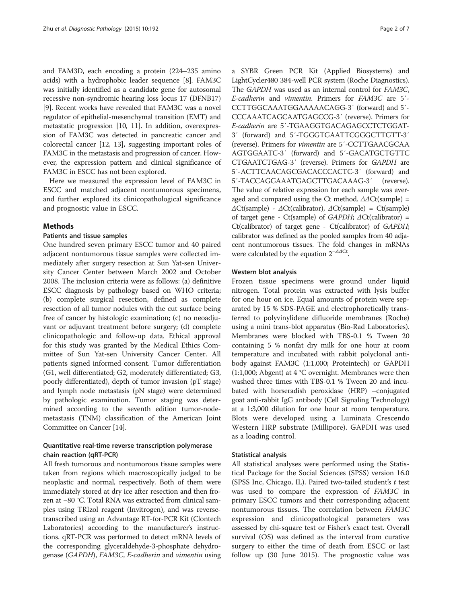and FAM3D, each encoding a protein (224–235 amino acids) with a hydrophobic leader sequence [[8\]](#page-5-0). FAM3C was initially identified as a candidate gene for autosomal recessive non-syndromic hearing loss locus 17 (DFNB17) [[9\]](#page-5-0). Recent works have revealed that FAM3C was a novel regulator of epithelial-mesenchymal transition (EMT) and metastatic progression [\[10, 11\]](#page-5-0). In addition, overexpression of FAM3C was detected in pancreatic cancer and colorectal cancer [[12](#page-5-0), [13](#page-6-0)], suggesting important roles of FAM3C in the metastasis and progression of cancer. However, the expression pattern and clinical significance of FAM3C in ESCC has not been explored.

Here we measured the expression level of FAM3C in ESCC and matched adjacent nontumorous specimens, and further explored its clinicopathological significance and prognostic value in ESCC.

## **Mathods**

## Patients and tissue samples

One hundred seven primary ESCC tumor and 40 paired adjacent nontumorous tissue samples were collected immediately after surgery resection at Sun Yat-sen University Cancer Center between March 2002 and October 2008. The inclusion criteria were as follows: (a) definitive ESCC diagnosis by pathology based on WHO criteria; (b) complete surgical resection, defined as complete resection of all tumor nodules with the cut surface being free of cancer by histologic examination; (c) no neoadjuvant or adjuvant treatment before surgery; (d) complete clinicopathologic and follow-up data. Ethical approval for this study was granted by the Medical Ethics Committee of Sun Yat-sen University Cancer Center. All patients signed informed consent. Tumor differentiation (G1, well differentiated; G2, moderately differentiated; G3, poorly differentiated), depth of tumor invasion (pT stage) and lymph node metastasis (pN stage) were determined by pathologic examination. Tumor staging was determined according to the seventh edition tumor-nodemetastasis (TNM) classification of the American Joint Committee on Cancer [\[14](#page-6-0)].

# Quantitative real-time reverse transcription polymerase chain reaction (qRT-PCR)

All fresh tumorous and nontumorous tissue samples were taken from regions which macroscopically judged to be neoplastic and normal, respectively. Both of them were immediately stored at dry ice after resection and then frozen at −80 °C. Total RNA was extracted from clinical samples using TRIzol reagent (Invitrogen), and was reversetranscribed using an Advantage RT-for-PCR Kit (Clontech Laboratories) according to the manufacturer's instructions. qRT-PCR was performed to detect mRNA levels of the corresponding glyceraldehyde-3-phosphate dehydrogenase (GAPDH), FAM3C, E-cadherin and vimentin using

a SYBR Green PCR Kit (Applied Biosystems) and LightCycler480 384-well PCR system (Roche Diagnostics). The GAPDH was used as an internal control for FAM3C, E-cadherin and vimentin. Primers for FAM3C are 5′- CCTTGGCAAATGGAAAAACAGG-3′ (forward) and 5′- CCCAAATCAGCAATGAGCCG-3′ (reverse). Primers for E-cadherin are 5′-TGAAGGTGACAGAGCCTCTGGAT-3′ (forward) and 5′-TGGGTGAATTCGGGCTTGTT-3′ (reverse). Primers for vimentin are 5′-CCTTGAACGCAA AGTGGAATC-3′ (forward) and 5′-GACATGCTGTTC CTGAATCTGAG-3′ (reverse). Primers for GAPDH are 5′-ACTTCAACAGCGACACCCACTC-3′ (forward) and 5′-TACCAGGAAATGAGCTTGACAAAG-3′ (reverse). The value of relative expression for each sample was averaged and compared using the Ct method.  $\Delta\Delta$ Ct(sample) =  $\Delta$ Ct(sample) -  $\Delta$ Ct(calibrator),  $\Delta$ Ct(sample) = Ct(sample) of target gene - Ct(sample) of GAPDH;  $\Delta$ Ct(calibrator) = Ct(calibrator) of target gene - Ct(calibrator) of GAPDH; calibrator was defined as the pooled samples from 40 adjacent nontumorous tissues. The fold changes in mRNAs were calculated by the equation  $2^{-\Delta\Delta\text{Ct}}$ .

### Western blot analysis

Frozen tissue specimens were ground under liquid nitrogen. Total protein was extracted with lysis buffer for one hour on ice. Equal amounts of protein were separated by 15 % SDS-PAGE and electrophoretically transferred to polyvinylidene difluoride membranes (Roche) using a mini trans-blot apparatus (Bio-Rad Laboratories). Membranes were blocked with TBS-0.1 % Tween 20 containing 5 % nonfat dry milk for one hour at room temperature and incubated with rabbit polyclonal antibody against FAM3C (1:1,000; Proteintech) or GAPDH (1:1,000; Abgent) at 4 °C overnight. Membranes were then washed three times with TBS-0.1 % Tween 20 and incubated with horseradish peroxidase (HRP) –conjugated goat anti-rabbit IgG antibody (Cell Signaling Technology) at a 1:3,000 dilution for one hour at room temperature. Blots were developed using a Luminata Crescendo Western HRP substrate (Millipore). GAPDH was used as a loading control.

## Statistical analysis

All statistical analyses were performed using the Statistical Package for the Social Sciences (SPSS) version 16.0 (SPSS Inc, Chicago, IL). Paired two-tailed student's  $t$  test was used to compare the expression of FAM3C in primary ESCC tumors and their corresponding adjacent nontumorous tissues. The correlation between FAM3C expression and clinicopathological parameters was assessed by chi-square test or Fisher's exact test. Overall survival (OS) was defined as the interval from curative surgery to either the time of death from ESCC or last follow up (30 June 2015). The prognostic value was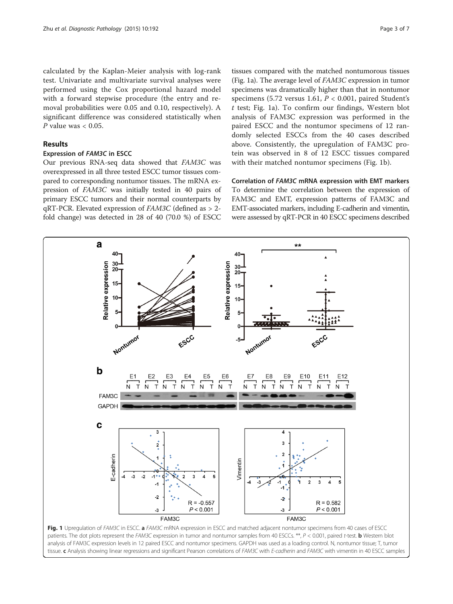<span id="page-2-0"></span>calculated by the Kaplan-Meier analysis with log-rank test. Univariate and multivariate survival analyses were performed using the Cox proportional hazard model with a forward stepwise procedure (the entry and removal probabilities were 0.05 and 0.10, respectively). A significant difference was considered statistically when P value was  $< 0.05$ .

## Results

## Expression of FAM3C in ESCC

Our previous RNA-seq data showed that FAM3C was overexpressed in all three tested ESCC tumor tissues compared to corresponding nontumor tissues. The mRNA expression of FAM3C was initially tested in 40 pairs of primary ESCC tumors and their normal counterparts by qRT-PCR. Elevated expression of FAM3C (defined as > 2 fold change) was detected in 28 of 40 (70.0 %) of ESCC

tissues compared with the matched nontumorous tissues (Fig. 1a). The average level of FAM3C expression in tumor specimens was dramatically higher than that in nontumor specimens (5.72 versus 1.61,  $P < 0.001$ , paired Student's  $t$  test; Fig. 1a). To confirm our findings, Western blot analysis of FAM3C expression was performed in the paired ESCC and the nontumor specimens of 12 randomly selected ESCCs from the 40 cases described above. Consistently, the upregulation of FAM3C protein was observed in 8 of 12 ESCC tissues compared with their matched nontumor specimens (Fig. 1b).

Correlation of FAM3C mRNA expression with EMT markers To determine the correlation between the expression of FAM3C and EMT, expression patterns of FAM3C and EMT-associated markers, including E-cadherin and vimentin, were assessed by qRT-PCR in 40 ESCC specimens described

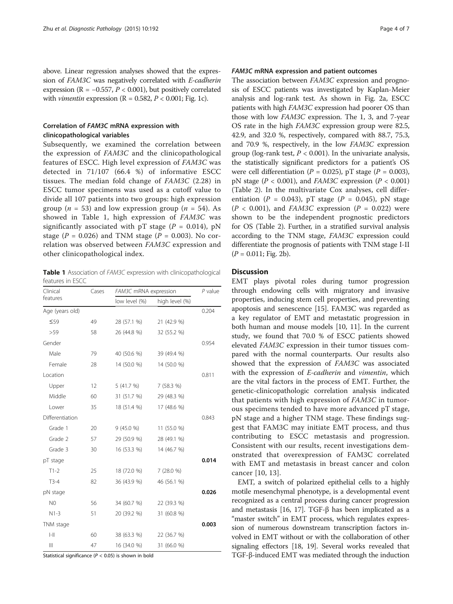above. Linear regression analyses showed that the expression of FAM3C was negatively correlated with E-cadherin expression ( $R = -0.557$ ,  $P < 0.001$ ), but positively correlated with *vimentin* expression ( $R = 0.582$ ,  $P < 0.001$ ; Fig. [1c\)](#page-2-0).

# Correlation of FAM3C mRNA expression with clinicopathological variables

Subsequently, we examined the correlation between the expression of FAM3C and the clinicopathological features of ESCC. High level expression of FAM3C was detected in 71/107 (66.4 %) of informative ESCC tissues. The median fold change of FAM3C (2.28) in ESCC tumor specimens was used as a cutoff value to divide all 107 patients into two groups: high expression group ( $n = 53$ ) and low expression group ( $n = 54$ ). As showed in Table 1, high expression of FAM3C was significantly associated with pT stage ( $P = 0.014$ ), pN stage ( $P = 0.026$ ) and TNM stage ( $P = 0.003$ ). No correlation was observed between FAM3C expression and other clinicopathological index.

Table 1 Association of FAM3C expression with clinicopathological features in ESCC

| Clinical                              | Cases | FAM3C mRNA expression |                | $P$ value |
|---------------------------------------|-------|-----------------------|----------------|-----------|
| features                              |       | low level (%)         | high level (%) |           |
| Age (years old)                       |       |                       |                | 0.204     |
| $\leq 59$                             | 49    | 28 (57.1 %)           | 21 (42.9 %)    |           |
| >59                                   | 58    | 26 (44.8 %)           | 32 (55.2 %)    |           |
| Gender                                |       |                       |                | 0.954     |
| Male                                  | 79    | 40 (50.6 %)           | 39 (49.4 %)    |           |
| Female                                | 28    | 14 (50.0 %)           | 14 (50.0 %)    |           |
| Location                              |       |                       |                | 0.811     |
| Upper                                 | 12    | 5(41.7%)              | 7 (58.3 %)     |           |
| Middle                                | 60    | 31 (51.7 %)           | 29 (48.3 %)    |           |
| Lower                                 | 35    | 18 (51.4 %)           | 17 (48.6 %)    |           |
| Differentiation                       |       |                       |                | 0.843     |
| Grade 1                               | 20    | 9(45.0%               | 11 (55.0 %)    |           |
| Grade 2                               | 57    | 29 (50.9 %)           | 28 (49.1 %)    |           |
| Grade 3                               | 30    | 16 (53.3 %)           | 14 (46.7 %)    |           |
| pT stage                              |       |                       |                | 0.014     |
| $T1-2$                                | 25    | 18 (72.0 %)           | 7(28.0%        |           |
| $T3-4$                                | 82    | 36 (43.9 %)           | 46 (56.1 %)    |           |
| pN stage                              |       |                       |                | 0.026     |
| N0                                    | 56    | 34 (60.7 %)           | 22 (39.3 %)    |           |
| $N1-3$                                | 51    | 20 (39.2 %)           | 31 (60.8 %)    |           |
| TNM stage                             |       |                       |                | 0.003     |
| $\left\vert -\right\vert \right\vert$ | 60    | 38 (63.3 %)           | 22 (36.7 %)    |           |
| $\begin{array}{c} \hline \end{array}$ | 47    | 16 (34.0 %)           | 31 (66.0 %)    |           |

Statistical significance ( $P < 0.05$ ) is shown in bold

## FAM3C mRNA expression and patient outcomes

The association between FAM3C expression and prognosis of ESCC patients was investigated by Kaplan-Meier analysis and log-rank test. As shown in Fig. [2a,](#page-4-0) ESCC patients with high FAM3C expression had poorer OS than those with low FAM3C expression. The 1, 3, and 7-year OS rate in the high FAM3C expression group were 82.5, 42.9, and 32.0 %, respectively, compared with 88.7, 75.3, and 70.9 %, respectively, in the low FAM3C expression group (log-rank test,  $P < 0.001$ ). In the univariate analysis, the statistically significant predictors for a patient's OS were cell differentiation ( $P = 0.025$ ), pT stage ( $P = 0.003$ ), pN stage ( $P < 0.001$ ), and FAM3C expression ( $P < 0.001$ ) (Table [2\)](#page-4-0). In the multivariate Cox analyses, cell differentiation ( $P = 0.043$ ), pT stage ( $P = 0.045$ ), pN stage  $(P < 0.001)$ , and FAM3C expression  $(P = 0.022)$  were shown to be the independent prognostic predictors for OS (Table [2](#page-4-0)). Further, in a stratified survival analysis according to the TNM stage, FAM3C expression could differentiate the prognosis of patients with TNM stage I-II  $(P = 0.011; Fig. 2b)$  $(P = 0.011; Fig. 2b)$ .

# **Discussion**

EMT plays pivotal roles during tumor progression through endowing cells with migratory and invasive properties, inducing stem cell properties, and preventing apoptosis and senescence [\[15\]](#page-6-0). FAM3C was regarded as a key regulator of EMT and metastatic progression in both human and mouse models [[10, 11](#page-5-0)]. In the current study, we found that 70.0 % of ESCC patients showed elevated FAM3C expression in their tumor tissues compared with the normal counterparts. Our results also showed that the expression of FAM3C was associated with the expression of E-cadherin and vimentin, which are the vital factors in the process of EMT. Further, the genetic-clinicopathologic correlation analysis indicated that patients with high expression of FAM3C in tumorous specimens tended to have more advanced pT stage, pN stage and a higher TNM stage. These findings suggest that FAM3C may initiate EMT process, and thus contributing to ESCC metastasis and progression. Consistent with our results, recent investigations demonstrated that overexpression of FAM3C correlated with EMT and metastasis in breast cancer and colon cancer [[10,](#page-5-0) [13](#page-6-0)].

EMT, a switch of polarized epithelial cells to a highly motile mesenchymal phenotype, is a developmental event recognized as a central process during cancer progression and metastasis [\[16, 17](#page-6-0)]. TGF-β has been implicated as a "master switch" in EMT process, which regulates expression of numerous downstream transcription factors involved in EMT without or with the collaboration of other signaling effectors [[18](#page-6-0), [19\]](#page-6-0). Several works revealed that TGF-β-induced EMT was mediated through the induction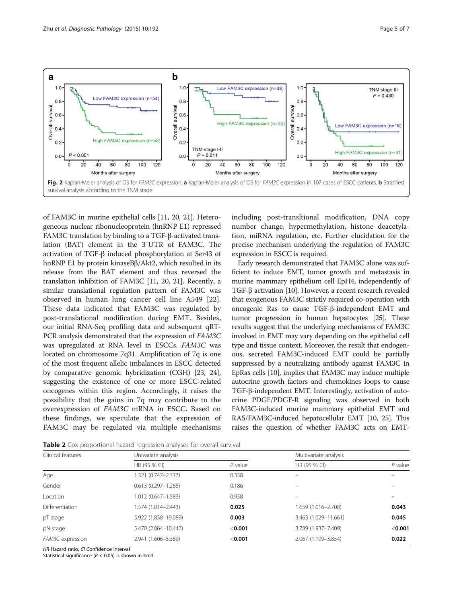<span id="page-4-0"></span>

of FAM3C in murine epithelial cells [[11](#page-5-0), [20](#page-6-0), [21\]](#page-6-0). Heterogeneous nuclear ribonucleoprotein (hnRNP E1) repressed FAM3C translation by binding to a TGF-β-activated translation (BAT) element in the 3′UTR of FAM3C. The activation of TGF-β induced phosphorylation at Ser43 of hnRNP E1 by protein kinaseBβ/Akt2, which resulted in its release from the BAT element and thus reversed the translation inhibition of FAM3C [\[11](#page-5-0), [20, 21](#page-6-0)]. Recently, a similar translational regulation pattern of FAM3C was observed in human lung cancer cell line A549 [[22](#page-6-0)]. These data indicated that FAM3C was regulated by post-translational modification during EMT. Besides, our initial RNA-Seq profiling data and subsequent qRT-PCR analysis demonstrated that the expression of FAM3C was upregulated at RNA level in ESCCs. FAM3C was located on chromosome 7q31. Amplification of 7q is one of the most frequent allelic imbalances in ESCC detected by comparative genomic hybridization (CGH) [[23](#page-6-0), [24](#page-6-0)], suggesting the existence of one or more ESCC-related oncogenes within this region. Accordingly, it raises the possibility that the gains in 7q may contribute to the overexpression of FAM3C mRNA in ESCC. Based on these findings, we speculate that the expression of FAM3C may be regulated via multiple mechanisms including post-transltional modification, DNA copy number change, hypermethylation, histone deacetylation, miRNA regulation, etc. Further elucidation for the precise mechanism underlying the regulation of FAM3C expression in ESCC is required.

Early research demonstrated that FAM3C alone was sufficient to induce EMT, tumor growth and metastasis in murine mammary epithelium cell EpH4, independently of TGF-β activation [[10\]](#page-5-0). However, a recent research revealed that exogenous FAM3C strictly required co-operation with oncogenic Ras to cause TGF-β-independent EMT and tumor progression in human hepatocytes [[25](#page-6-0)]. These results suggest that the underlying mechanisms of FAM3C involved in EMT may vary depending on the epithelial cell type and tissue context. Moreover, the result that endogenous, secreted FAM3C-induced EMT could be partially suppressed by a neutralizing antibody against FAM3C in EpRas cells [\[10\]](#page-5-0), implies that FAM3C may induce multiple autocrine growth factors and chemokines loops to cause TGF-β-independent EMT. Interestingly, activation of autocrine PDGF/PDGF-R signaling was observed in both FAM3C-induced murine mammary epithelial EMT and RAS/FAM3C-induced hepatocellular EMT [[10](#page-5-0), [25](#page-6-0)]. This raises the question of whether FAM3C acts on EMT-

Table 2 Cox proportional hazard regression analyses for overall survival

| Clinical features | Univariate analysis    |           | Multivariate analysis |           |
|-------------------|------------------------|-----------|-----------------------|-----------|
|                   | HR (95 % CI)           | $P$ value | HR (95 % CI)          | $P$ value |
| Age               | 1.321 (0.747-2.337)    | 0.338     |                       |           |
| Gender            | $0.613(0.297 - 1.265)$ | 0.186     |                       |           |
| Location          | $1.012(0.647 - 1.583)$ | 0.958     |                       |           |
| Differentiation   | 1.574 (1.014–2.443)    | 0.025     | 1.659 (1.016-2.708)   | 0.043     |
| pT stage          | 5.922 (1.838-19.089)   | 0.003     | 3.463 (1.029-11.661)  | 0.045     |
| pN stage          | 5.470 (2.864-10.447)   | $<$ 0.001 | 3.789 (1.937-7.409)   | < 0.001   |
| FAM3C expression  | 2.941 (1.606-5.389)    | $<$ 0.001 | 2.067 (1.109-3.854)   | 0.022     |

HR Hazard ratio, CI Confidence interval

Statistical significance ( $P < 0.05$ ) is shown in bold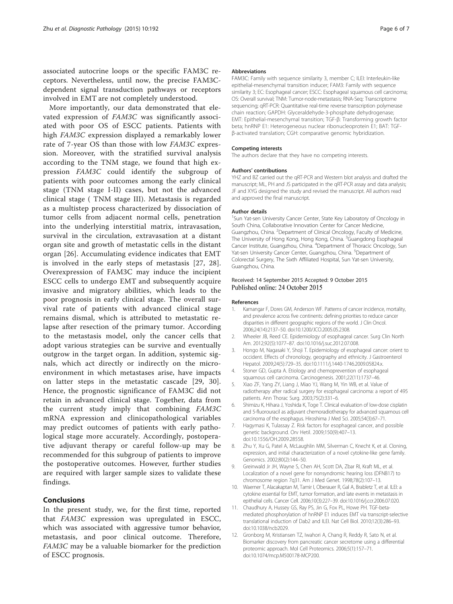<span id="page-5-0"></span>associated autocrine loops or the specific FAM3C receptors. Nevertheless, until now, the precise FAM3Cdependent signal transduction pathways or receptors involved in EMT are not completely understood.

More importantly, our data demonstrated that elevated expression of FAM3C was significantly associated with poor OS of ESCC patients. Patients with high FAM3C expression displayed a remarkably lower rate of 7-year OS than those with low FAM3C expression. Moreover, with the stratified survival analysis according to the TNM stage, we found that high expression FAM3C could identify the subgroup of patients with poor outcomes among the early clinical stage (TNM stage I-II) cases, but not the advanced clinical stage ( TNM stage III). Metastasis is regarded as a multistep process characterized by dissociation of tumor cells from adjacent normal cells, penetration into the underlying interstitial matrix, intravasation, survival in the circulation, extravasation at a distant organ site and growth of metastatic cells in the distant organ [\[26](#page-6-0)]. Accumulating evidence indicates that EMT is involved in the early steps of metastasis [\[27, 28](#page-6-0)]. Overexpression of FAM3C may induce the incipient ESCC cells to undergo EMT and subsequently acquire invasive and migratory abilities, which leads to the poor prognosis in early clinical stage. The overall survival rate of patients with advanced clinical stage remains dismal, which is attributed to metastatic relapse after resection of the primary tumor. According to the metastasis model, only the cancer cells that adopt various strategies can be survive and eventually outgrow in the target organ. In addition, systemic signals, which act directly or indirectly on the microenvironment in which metastases arise, have impacts on latter steps in the metastatic cascade [[29](#page-6-0), [30\]](#page-6-0). Hence, the prognostic significance of FAM3C did not retain in advanced clinical stage. Together, data from the current study imply that combining FAM3C mRNA expression and clinicopathological variables may predict outcomes of patients with early pathological stage more accurately. Accordingly, postoperative adjuvant therapy or careful follow-up may be recommended for this subgroup of patients to improve the postoperative outcomes. However, further studies are required with larger sample sizes to validate these findings.

# Conclusions

In the present study, we, for the first time, reported that FAM3C expression was upregulated in ESCC, which was associated with aggressive tumor behavior, metastasis, and poor clinical outcome. Therefore, FAM3C may be a valuable biomarker for the prediction of ESCC prognosis.

#### Abbreviations

FAM3C: Family with sequence similarity 3, member C; ILEI: Interleukin-like epithelial-mesenchymal transition inducer; FAM3: Family with sequence similarity 3; EC: Esophageal cancer; ESCC: Esophageal squamous cell carcinoma; OS: Overall survival; TNM: Tumor-node-metastasis; RNA-Seq: Transcriptome sequencing; qRT-PCR: Quantitative real-time reverse transcription polymerase chain reaction; GAPDH: Glyceraldehyde-3-phosphate dehydrogenase; EMT: Epithelial-mesenchymal transition; TGF-β: Transforming growth factor beta; hnRNP E1: Heterogeneous nuclear ribonucleoprotein E1; BAT: TGFβ-activated translation; CGH: comparative genomic hybridization.

### Competing interests

The authors declare that they have no competing interests.

#### Authors′ contributions

YHZ and BZ carried out the qRT-PCR and Western blot analysis and drafted the manuscript; ML, PH and JS participated in the qRT-PCR assay and data analysis; JF and XYG designed the study and revised the manuscript. All authors read and approved the final manuscript.

#### Author details

<sup>1</sup>Sun Yat-sen University Cancer Center, State Key Laboratory of Oncology in South China, Collaborative Innovation Center for Cancer Medicine, Guangzhou, China. <sup>2</sup>Department of Clinical Oncology, Faculty of Medicine, The University of Hong Kong, Hong Kong, China. <sup>3</sup>Guangdong Esophageal Cancer Institute, Guangzhou, China. <sup>4</sup> Department of Thoracic Oncology, Sun Yat-sen University Cancer Center, Guangzhou, China. <sup>5</sup>Department of Colorectal Surgery, The Sixth Affiliated Hospital, Sun Yat-sen University, Guangzhou, China.

#### Received: 14 September 2015 Accepted: 9 October 2015 Published online: 24 October 2015

#### References

- 1. Kamangar F, Dores GM, Anderson WF. Patterns of cancer incidence, mortality, and prevalence across five continents: defining priorities to reduce cancer disparities in different geographic regions of the world. J Clin Oncol. 2006;24(14):2137–50. doi[:10.1200/JCO.2005.05.2308](http://dx.doi.org/10.1200/JCO.2005.05.2308).
- 2. Wheeler JB, Reed CE. Epidemiology of esophageal cancer. Surg Clin North Am. 2012;92(5):1077–87. doi:[10.1016/j.suc.2012.07.008](http://dx.doi.org/10.1016/j.suc.2012.07.008).
- 3. Hongo M, Nagasaki Y, Shoji T. Epidemiology of esophageal cancer: orient to occident. Effects of chronology, geography and ethnicity. J Gastroenterol Hepatol. 2009;24(5):729–35. doi:[10.1111/j.1440-1746.2009.05824.x](http://dx.doi.org/10.1111/j.1440-1746.2009.05824.x).
- 4. Stoner GD, Gupta A. Etiology and chemoprevention of esophageal squamous cell carcinoma. Carcinogenesis. 2001;22(11):1737–46.
- 5. Xiao ZF, Yang ZY, Liang J, Miao YJ, Wang M, Yin WB, et al. Value of radiotherapy after radical surgery for esophageal carcinoma: a report of 495 patients. Ann Thorac Surg. 2003;75(2):331–6.
- 6. Shimizu K, Hihara J, Yoshida K, Toge T. Clinical evaluation of low-dose cisplatin and 5-fluorouracil as adjuvant chemoradiotherapy for advanced squamous cell carcinoma of the esophagus. Hiroshima J Med Sci. 2005;54(3):67–71.
- 7. Hagymasi K, Tulassay Z. Risk factors for esophageal cancer, and possible genetic background. Orv Hetil. 2009;150(9):407–13. doi[:10.1556/OH.2009.28558.](http://dx.doi.org/10.1556/OH.2009.28558)
- 8. Zhu Y, Xu G, Patel A, McLaughlin MM, Silverman C, Knecht K, et al. Cloning, expression, and initial characterization of a novel cytokine-like gene family. Genomics. 2002;80(2):144–50.
- 9. Greinwald Jr JH, Wayne S, Chen AH, Scott DA, Zbar RI, Kraft ML, et al. Localization of a novel gene for nonsyndromic hearing loss (DFNB17) to chromosome region 7q31. Am J Med Genet. 1998;78(2):107–13.
- 10. Waerner T, Alacakaptan M, Tamir I, Oberauer R, Gal A, Brabletz T, et al. ILEI: a cytokine essential for EMT, tumor formation, and late events in metastasis in epithelial cells. Cancer Cell. 2006;10(3):227–39. doi[:10.1016/j.ccr.2006.07.020](http://dx.doi.org/10.1016/j.ccr.2006.07.020).
- 11. Chaudhury A, Hussey GS, Ray PS, Jin G, Fox PL, Howe PH. TGF-betamediated phosphorylation of hnRNP E1 induces EMT via transcript-selective translational induction of Dab2 and ILEI. Nat Cell Biol. 2010;12(3):286–93. doi[:10.1038/ncb2029.](http://dx.doi.org/10.1038/ncb2029)
- 12. Gronborg M, Kristiansen TZ, Iwahori A, Chang R, Reddy R, Sato N, et al. Biomarker discovery from pancreatic cancer secretome using a differential proteomic approach. Mol Cell Proteomics. 2006;5(1):157–71. doi[:10.1074/mcp.M500178-MCP200](http://dx.doi.org/10.1074/mcp.M500178-MCP200).